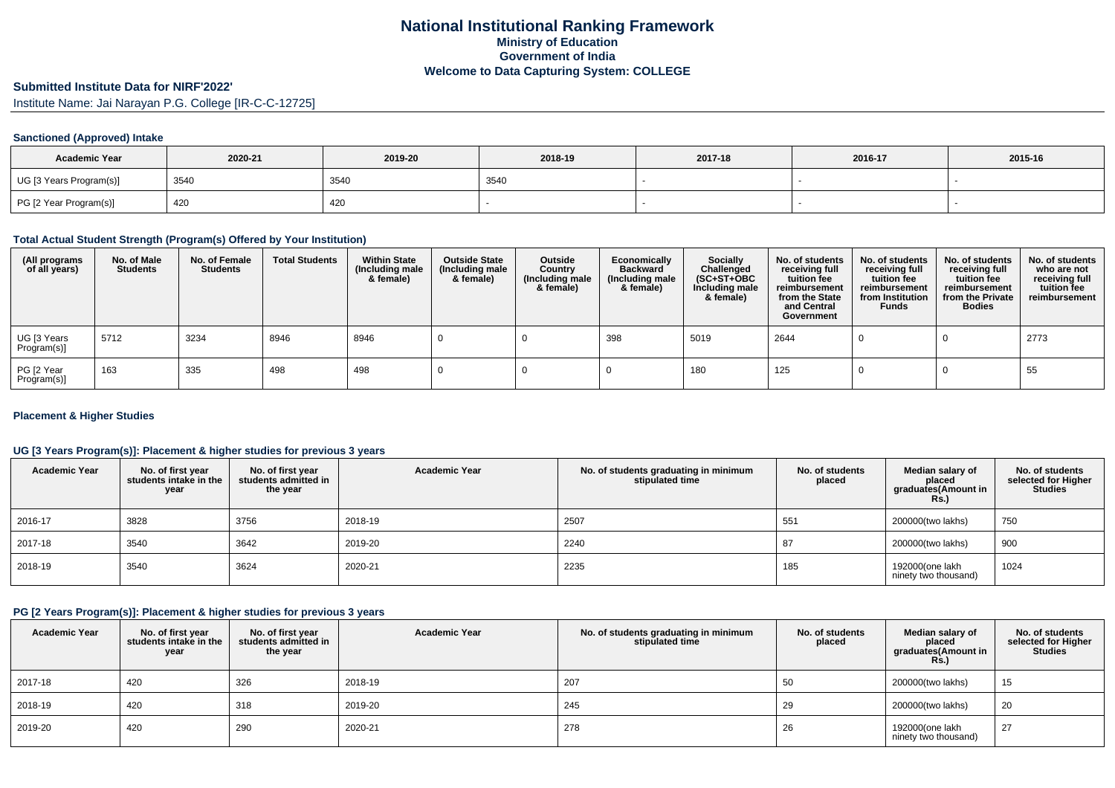# **Submitted Institute Data for NIRF'2022'**

Institute Name: Jai Narayan P.G. College [IR-C-C-12725]

## **Sanctioned (Approved) Intake**

| <b>Academic Year</b>    | 2020-21 | 2019-20 | 2018-19 | 2017-18 | 2016-17 | 2015-16 |
|-------------------------|---------|---------|---------|---------|---------|---------|
| UG [3 Years Program(s)] | 3540    | 3540    | 3540    |         |         |         |
| PG [2 Year Program(s)]  | 420     | 420     |         |         |         |         |

#### **Total Actual Student Strength (Program(s) Offered by Your Institution)**

| (All programs<br>of all years) | No. of Male<br><b>Students</b> | No. of Female<br><b>Students</b> | <b>Total Students</b> | <b>Within State</b><br>(Including male<br>& female) | <b>Outside State</b><br>(Including male<br>& female) | Outside<br>Country<br>(Including male<br>& female) | Economically<br><b>Backward</b><br>(Including male<br>& female) | <b>Socially</b><br>Challenged<br>$(SC+ST+OBC)$<br>Including male<br>& female) | No. of students<br>receiving full<br>tuition fee<br>reimbursement<br>from the State<br>and Central<br>Government | No. of students<br>receiving full<br>tuition fee<br>reimbursement<br>from Institution<br><b>Funds</b> | No. of students<br>receiving full<br>tuition fee<br>reimbursement<br>from the Private<br><b>Bodies</b> | No. of students<br>who are not<br>receiving full<br>tuition fee<br>reimbursement |
|--------------------------------|--------------------------------|----------------------------------|-----------------------|-----------------------------------------------------|------------------------------------------------------|----------------------------------------------------|-----------------------------------------------------------------|-------------------------------------------------------------------------------|------------------------------------------------------------------------------------------------------------------|-------------------------------------------------------------------------------------------------------|--------------------------------------------------------------------------------------------------------|----------------------------------------------------------------------------------|
| UG [3 Years<br>Program(s)]     | 5712                           | 3234                             | 8946                  | 8946                                                |                                                      |                                                    | 398                                                             | 5019                                                                          | 2644                                                                                                             |                                                                                                       |                                                                                                        | 2773                                                                             |
| PG [2 Year<br>Program(s)]      | 163                            | 335                              | 498                   | 498                                                 |                                                      |                                                    |                                                                 | 180                                                                           | 125                                                                                                              |                                                                                                       |                                                                                                        | 55                                                                               |

## **Placement & Higher Studies**

## **UG [3 Years Program(s)]: Placement & higher studies for previous 3 years**

| <b>Academic Year</b> | No. of first year<br>students intake in the<br>year | No. of first year<br>students admitted in<br>the year | <b>Academic Year</b> | No. of students graduating in minimum<br>stipulated time | No. of students<br>placed | Median salary of<br>placed<br>graduates(Amount in<br>Rs. | No. of students<br>selected for Higher<br><b>Studies</b> |
|----------------------|-----------------------------------------------------|-------------------------------------------------------|----------------------|----------------------------------------------------------|---------------------------|----------------------------------------------------------|----------------------------------------------------------|
| 2016-17              | 3828                                                | 3756                                                  | 2018-19              | 2507                                                     | 551                       | 200000(two lakhs)                                        | 750                                                      |
| 2017-18              | 3540                                                | 3642                                                  | 2019-20              | 2240                                                     | 87                        | 200000(two lakhs)                                        | 900                                                      |
| 2018-19              | 3540                                                | 3624                                                  | 2020-21              | 2235                                                     | 185                       | 192000(one lakh<br>ninety two thousand)                  | 1024                                                     |

#### **PG [2 Years Program(s)]: Placement & higher studies for previous 3 years**

| <b>Academic Year</b> | No. of first year<br>students intake in the<br>year | No. of first year<br>students admitted in<br>the year | <b>Academic Year</b> | No. of students graduating in minimum<br>stipulated time | No. of students<br>placed | Median salary of<br>placed<br>graduates(Amount in<br><b>Rs.)</b> | No. of students<br>selected for Higher<br><b>Studies</b> |
|----------------------|-----------------------------------------------------|-------------------------------------------------------|----------------------|----------------------------------------------------------|---------------------------|------------------------------------------------------------------|----------------------------------------------------------|
| 2017-18              | 420                                                 | 326                                                   | 2018-19              | 207                                                      | 50.<br>ັບບ                | 200000(two lakhs)                                                | 15                                                       |
| 2018-19              | 420                                                 | 318                                                   | 2019-20              | 245                                                      | 29                        | 200000(two lakhs)                                                | 20                                                       |
| 2019-20              | 420                                                 | 290                                                   | 2020-21              | 278                                                      | 26                        | 192000(one lakh<br>ninety two thousand)                          | 27                                                       |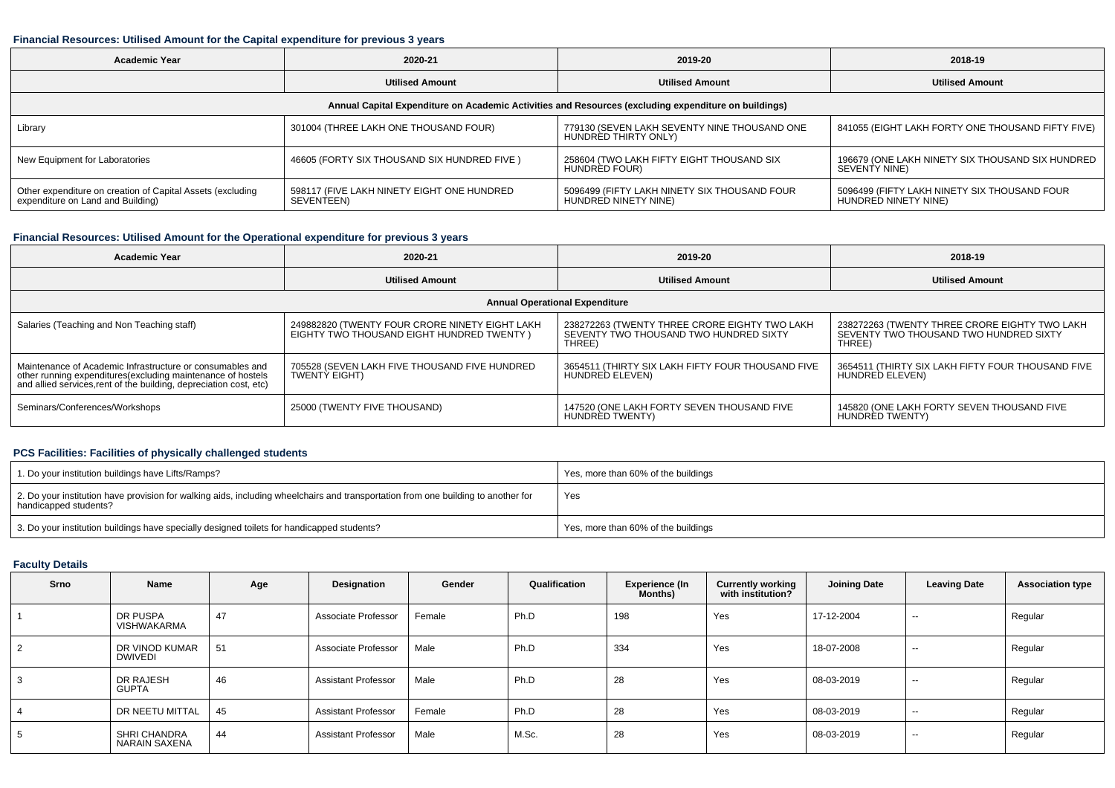## **Financial Resources: Utilised Amount for the Capital expenditure for previous 3 years**

| <b>Academic Year</b>                                                                            | 2020-21                                                  |                                                                                                      | 2018-19                                                                  |  |
|-------------------------------------------------------------------------------------------------|----------------------------------------------------------|------------------------------------------------------------------------------------------------------|--------------------------------------------------------------------------|--|
| <b>Utilised Amount</b>                                                                          |                                                          | <b>Utilised Amount</b>                                                                               | <b>Utilised Amount</b>                                                   |  |
|                                                                                                 |                                                          | Annual Capital Expenditure on Academic Activities and Resources (excluding expenditure on buildings) |                                                                          |  |
| Library                                                                                         | 301004 (THREE LAKH ONE THOUSAND FOUR)                    | 779130 (SEVEN LAKH SEVENTY NINE THOUSAND ONE<br>HUNDRED THIRTY ONLY)                                 | 841055 (EIGHT LAKH FORTY ONE THOUSAND FIFTY FIVE)                        |  |
| New Equipment for Laboratories                                                                  | 46605 (FORTY SIX THOUSAND SIX HUNDRED FIVE)              | 258604 (TWO LAKH FIFTY EIGHT THOUSAND SIX<br>HUNDRED FOUR)                                           | 196679 (ONE LAKH NINETY SIX THOUSAND SIX HUNDRED<br><b>SEVENTY NINE)</b> |  |
| Other expenditure on creation of Capital Assets (excluding<br>expenditure on Land and Building) | 598117 (FIVE LAKH NINETY EIGHT ONE HUNDRED<br>SEVENTEEN) | 5096499 (FIFTY LAKH NINETY SIX THOUSAND FOUR<br>HUNDRED NINETY NINE)                                 | 5096499 (FIFTY LAKH NINETY SIX THOUSAND FOUR<br>HUNDRED NINETY NINE)     |  |

## **Financial Resources: Utilised Amount for the Operational expenditure for previous 3 years**

| <b>Academic Year</b>                                                                                                                                                                           | 2020-21                                                                                      | 2019-20                                                                                           | 2018-19                                                                                           |
|------------------------------------------------------------------------------------------------------------------------------------------------------------------------------------------------|----------------------------------------------------------------------------------------------|---------------------------------------------------------------------------------------------------|---------------------------------------------------------------------------------------------------|
|                                                                                                                                                                                                | <b>Utilised Amount</b>                                                                       | <b>Utilised Amount</b>                                                                            | <b>Utilised Amount</b>                                                                            |
|                                                                                                                                                                                                |                                                                                              | <b>Annual Operational Expenditure</b>                                                             |                                                                                                   |
| Salaries (Teaching and Non Teaching staff)                                                                                                                                                     | 249882820 (TWENTY FOUR CRORE NINETY EIGHT LAKH<br>EIGHTY TWO THOUSAND EIGHT HUNDRED TWENTY ) | 238272263 (TWENTY THREE CRORE EIGHTY TWO LAKH<br>SEVENTY TWO THOUSAND TWO HUNDRED SIXTY<br>THREE) | 238272263 (TWENTY THREE CRORE EIGHTY TWO LAKH<br>SEVENTY TWO THOUSAND TWO HUNDRED SIXTY<br>THREE) |
| Maintenance of Academic Infrastructure or consumables and<br>other running expenditures(excluding maintenance of hostels<br>and allied services, rent of the building, depreciation cost, etc) | 705528 (SEVEN LAKH FIVE THOUSAND FIVE HUNDRED<br><b>TWENTY EIGHT)</b>                        | 3654511 (THIRTY SIX LAKH FIFTY FOUR THOUSAND FIVE<br>HUNDRED ELEVEN)                              | 3654511 (THIRTY SIX LAKH FIFTY FOUR THOUSAND FIVE<br>HUNDRED ELEVEN)                              |
| Seminars/Conferences/Workshops                                                                                                                                                                 | 25000 (TWENTY FIVE THOUSAND)                                                                 | 147520 (ONE LAKH FORTY SEVEN THOUSAND FIVE<br>HUNDRED TWENTY)                                     | 145820 (ONE LAKH FORTY SEVEN THOUSAND FIVE<br>HUNDRED TWENTY)                                     |

## **PCS Facilities: Facilities of physically challenged students**

| 1. Do your institution buildings have Lifts/Ramps?                                                                                                         | Yes, more than 60% of the buildings |
|------------------------------------------------------------------------------------------------------------------------------------------------------------|-------------------------------------|
| 2. Do your institution have provision for walking aids, including wheelchairs and transportation from one building to another for<br>handicapped students? | Yes                                 |
| 3. Do your institution buildings have specially designed toilets for handicapped students?                                                                 | Yes, more than 60% of the buildings |

## **Faculty Details**

| Srno           | Name                             | Age | Designation                | Gender | Qualification | Experience (In<br><b>Months</b> ) | <b>Currently working</b><br>with institution? | <b>Joining Date</b> | <b>Leaving Date</b> | <b>Association type</b> |
|----------------|----------------------------------|-----|----------------------------|--------|---------------|-----------------------------------|-----------------------------------------------|---------------------|---------------------|-------------------------|
|                | DR PUSPA<br><b>VISHWAKARMA</b>   | 47  | Associate Professor        | Female | Ph.D          | 198                               | Yes                                           | 17-12-2004          | $\sim$              | Regular                 |
| 2              | DR VINOD KUMAR<br><b>DWIVEDI</b> | 51  | Associate Professor        | Male   | Ph.D          | 334                               | Yes                                           | 18-07-2008          | $\sim$              | Regular                 |
| 3              | DR RAJESH<br><b>GUPTA</b>        | 46  | <b>Assistant Professor</b> | Male   | Ph.D          | 28                                | Yes                                           | 08-03-2019          | $\sim$              | Regular                 |
| $\overline{4}$ | DR NEETU MITTAL                  | 45  | <b>Assistant Professor</b> | Female | Ph.D          | 28                                | Yes                                           | 08-03-2019          | $\sim$              | Regular                 |
| 5              | SHRI CHANDRA<br>NARAIN SAXENA    | 44  | <b>Assistant Professor</b> | Male   | M.Sc.         | 28                                | Yes                                           | 08-03-2019          | $\sim$              | Regular                 |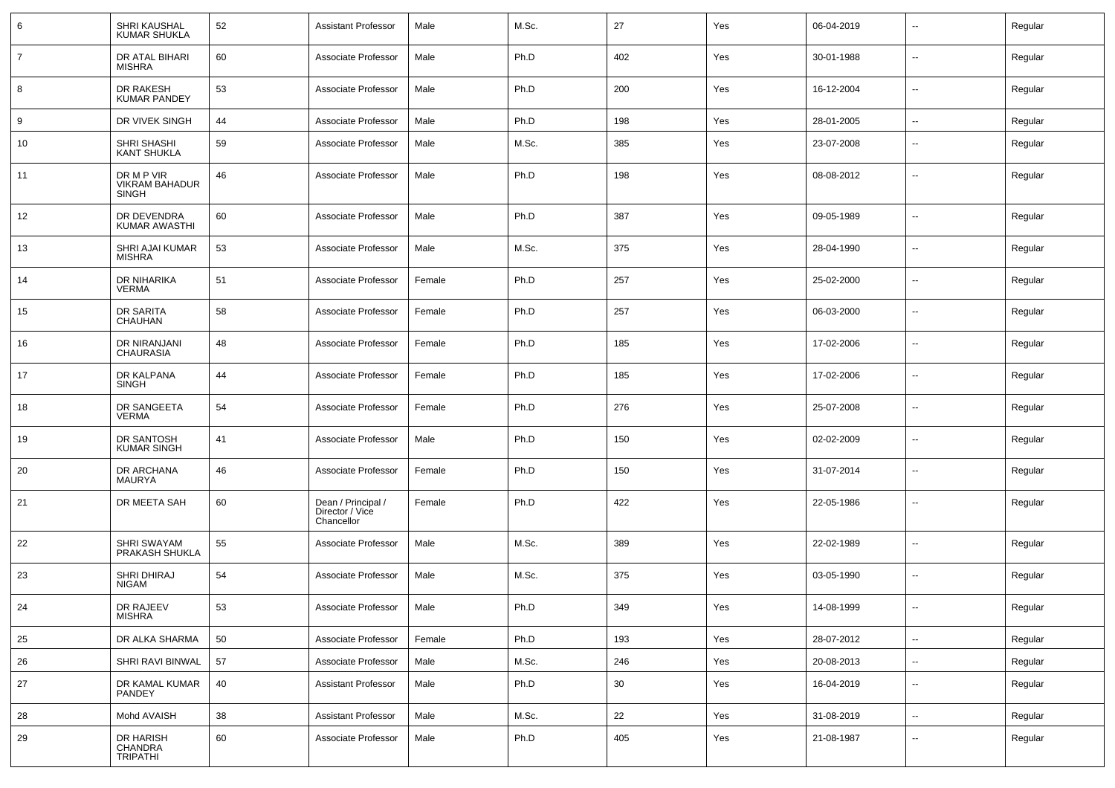| 6  | SHRI KAUSHAL<br><b>KUMAR SHUKLA</b>                 | 52 | Assistant Professor                                 | Male   | M.Sc. | 27  | Yes | 06-04-2019 | $\mathbf{u}$             | Regular |
|----|-----------------------------------------------------|----|-----------------------------------------------------|--------|-------|-----|-----|------------|--------------------------|---------|
| 7  | DR ATAL BIHARI<br><b>MISHRA</b>                     | 60 | Associate Professor                                 | Male   | Ph.D  | 402 | Yes | 30-01-1988 | $\sim$                   | Regular |
| 8  | DR RAKESH<br><b>KUMAR PANDEY</b>                    | 53 | Associate Professor                                 | Male   | Ph.D  | 200 | Yes | 16-12-2004 | $\sim$                   | Regular |
| 9  | DR VIVEK SINGH                                      | 44 | Associate Professor                                 | Male   | Ph.D  | 198 | Yes | 28-01-2005 | $\sim$                   | Regular |
| 10 | SHRI SHASHI<br><b>KANT SHUKLA</b>                   | 59 | Associate Professor                                 | Male   | M.Sc. | 385 | Yes | 23-07-2008 | --                       | Regular |
| 11 | DR M P VIR<br><b>VIKRAM BAHADUR</b><br><b>SINGH</b> | 46 | Associate Professor                                 | Male   | Ph.D  | 198 | Yes | 08-08-2012 | --                       | Regular |
| 12 | DR DEVENDRA<br><b>KUMAR AWASTHI</b>                 | 60 | Associate Professor                                 | Male   | Ph.D  | 387 | Yes | 09-05-1989 | $\sim$                   | Regular |
| 13 | SHRI AJAI KUMAR<br><b>MISHRA</b>                    | 53 | Associate Professor                                 | Male   | M.Sc. | 375 | Yes | 28-04-1990 | $\sim$                   | Regular |
| 14 | DR NIHARIKA<br><b>VERMA</b>                         | 51 | Associate Professor                                 | Female | Ph.D  | 257 | Yes | 25-02-2000 | $\sim$                   | Regular |
| 15 | DR SARITA<br>CHAUHAN                                | 58 | Associate Professor                                 | Female | Ph.D  | 257 | Yes | 06-03-2000 | $\sim$                   | Regular |
| 16 | DR NIRANJANI<br>CHAURASIA                           | 48 | Associate Professor                                 | Female | Ph.D  | 185 | Yes | 17-02-2006 | $\sim$                   | Regular |
| 17 | DR KALPANA<br><b>SINGH</b>                          | 44 | Associate Professor                                 | Female | Ph.D  | 185 | Yes | 17-02-2006 | $\sim$                   | Regular |
| 18 | DR SANGEETA<br><b>VERMA</b>                         | 54 | Associate Professor                                 | Female | Ph.D  | 276 | Yes | 25-07-2008 | $\sim$                   | Regular |
| 19 | DR SANTOSH<br><b>KUMAR SINGH</b>                    | 41 | Associate Professor                                 | Male   | Ph.D  | 150 | Yes | 02-02-2009 | $\sim$                   | Regular |
| 20 | DR ARCHANA<br>MAURYA                                | 46 | Associate Professor                                 | Female | Ph.D  | 150 | Yes | 31-07-2014 | $\sim$                   | Regular |
| 21 | DR MEETA SAH                                        | 60 | Dean / Principal /<br>Director / Vice<br>Chancellor | Female | Ph.D  | 422 | Yes | 22-05-1986 | $\overline{\phantom{a}}$ | Regular |
| 22 | SHRI SWAYAM<br>PRAKASH SHUKLA                       | 55 | Associate Professor                                 | Male   | M.Sc. | 389 | Yes | 22-02-1989 | $\overline{\phantom{a}}$ | Regular |
| 23 | SHRI DHIRAJ<br><b>NIGAM</b>                         | 54 | Associate Professor                                 | Male   | M.Sc. | 375 | Yes | 03-05-1990 | $\mathbf{u}$             | Regular |
| 24 | DR RAJEEV<br><b>MISHRA</b>                          | 53 | Associate Professor                                 | Male   | Ph.D  | 349 | Yes | 14-08-1999 |                          | Regular |
| 25 | DR ALKA SHARMA                                      | 50 | Associate Professor                                 | Female | Ph.D  | 193 | Yes | 28-07-2012 | $\sim$                   | Regular |
| 26 | SHRI RAVI BINWAL                                    | 57 | Associate Professor                                 | Male   | M.Sc. | 246 | Yes | 20-08-2013 | $\sim$                   | Regular |
| 27 | DR KAMAL KUMAR<br>PANDEY                            | 40 | <b>Assistant Professor</b>                          | Male   | Ph.D  | 30  | Yes | 16-04-2019 | $\sim$                   | Regular |
| 28 | Mohd AVAISH                                         | 38 | <b>Assistant Professor</b>                          | Male   | M.Sc. | 22  | Yes | 31-08-2019 | $\sim$                   | Regular |
| 29 | DR HARISH<br>CHANDRA<br>TRIPATHI                    | 60 | Associate Professor                                 | Male   | Ph.D  | 405 | Yes | 21-08-1987 | $\overline{\phantom{a}}$ | Regular |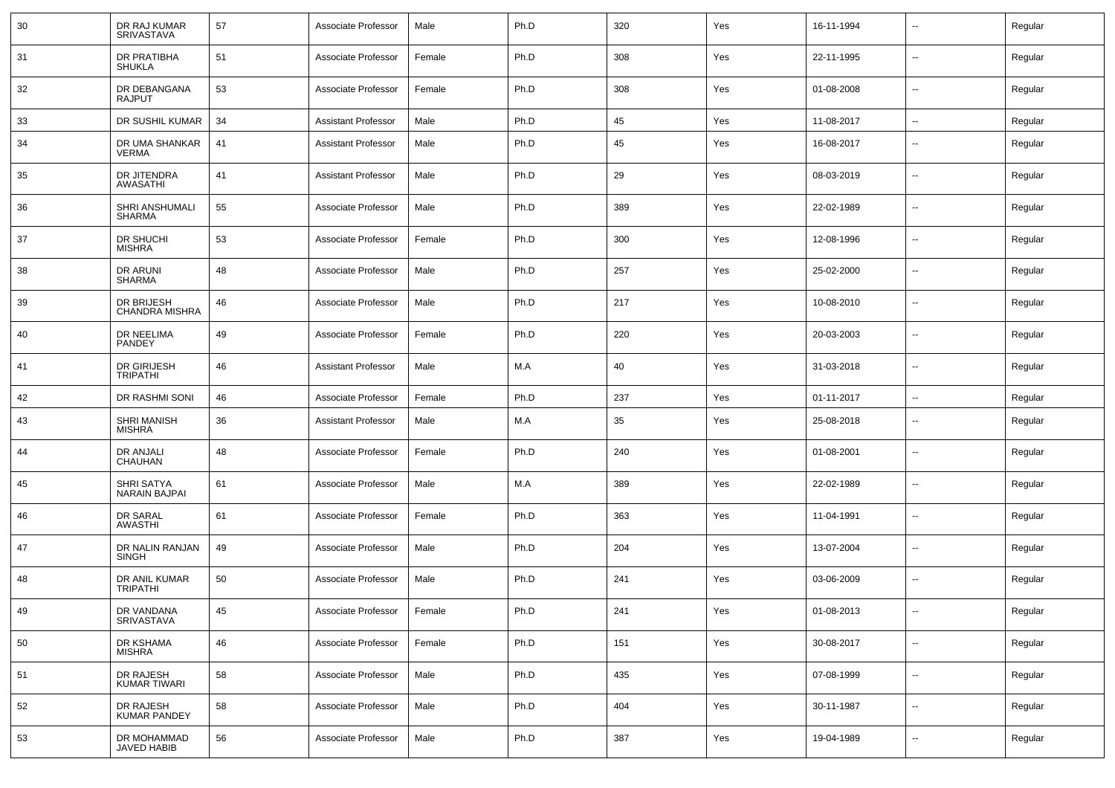| 30 | DR RAJ KUMAR<br>SRIVASTAVA          | 57 | Associate Professor        | Male   | Ph.D | 320 | Yes | 16-11-1994 |                          | Regular |
|----|-------------------------------------|----|----------------------------|--------|------|-----|-----|------------|--------------------------|---------|
| 31 | DR PRATIBHA<br><b>SHUKLA</b>        | 51 | Associate Professor        | Female | Ph.D | 308 | Yes | 22-11-1995 | $\sim$                   | Regular |
| 32 | DR DEBANGANA<br><b>RAJPUT</b>       | 53 | Associate Professor        | Female | Ph.D | 308 | Yes | 01-08-2008 | $\sim$                   | Regular |
| 33 | DR SUSHIL KUMAR                     | 34 | <b>Assistant Professor</b> | Male   | Ph.D | 45  | Yes | 11-08-2017 | $\sim$                   | Regular |
| 34 | DR UMA SHANKAR<br><b>VERMA</b>      | 41 | <b>Assistant Professor</b> | Male   | Ph.D | 45  | Yes | 16-08-2017 | $\overline{\phantom{a}}$ | Regular |
| 35 | DR JITENDRA<br>AWASATHI             | 41 | <b>Assistant Professor</b> | Male   | Ph.D | 29  | Yes | 08-03-2019 | $\mathbf{u}$             | Regular |
| 36 | SHRI ANSHUMALI<br><b>SHARMA</b>     | 55 | Associate Professor        | Male   | Ph.D | 389 | Yes | 22-02-1989 | $\overline{\phantom{a}}$ | Regular |
| 37 | DR SHUCHI<br><b>MISHRA</b>          | 53 | Associate Professor        | Female | Ph.D | 300 | Yes | 12-08-1996 | $\mathbf{u}$             | Regular |
| 38 | <b>DR ARUNI</b><br><b>SHARMA</b>    | 48 | Associate Professor        | Male   | Ph.D | 257 | Yes | 25-02-2000 | $\overline{\phantom{a}}$ | Regular |
| 39 | DR BRIJESH<br>CHANDRA MISHRA        | 46 | Associate Professor        | Male   | Ph.D | 217 | Yes | 10-08-2010 | $\mathbf{u}$             | Regular |
| 40 | DR NEELIMA<br>PANDEY                | 49 | Associate Professor        | Female | Ph.D | 220 | Yes | 20-03-2003 | --                       | Regular |
| 41 | DR GIRIJESH<br><b>TRIPATHI</b>      | 46 | <b>Assistant Professor</b> | Male   | M.A  | 40  | Yes | 31-03-2018 | $\overline{\phantom{a}}$ | Regular |
| 42 | DR RASHMI SONI                      | 46 | Associate Professor        | Female | Ph.D | 237 | Yes | 01-11-2017 | $\mathbf{u}$             | Regular |
| 43 | <b>SHRI MANISH</b><br><b>MISHRA</b> | 36 | <b>Assistant Professor</b> | Male   | M.A  | 35  | Yes | 25-08-2018 | $\overline{\phantom{a}}$ | Regular |
| 44 | DR ANJALI<br>CHAUHAN                | 48 | Associate Professor        | Female | Ph.D | 240 | Yes | 01-08-2001 | $\overline{\phantom{a}}$ | Regular |
| 45 | SHRI SATYA<br>NARAIN BAJPAI         | 61 | Associate Professor        | Male   | M.A  | 389 | Yes | 22-02-1989 | $\overline{\phantom{a}}$ | Regular |
| 46 | DR SARAL<br><b>AWASTHI</b>          | 61 | Associate Professor        | Female | Ph.D | 363 | Yes | 11-04-1991 | $\overline{\phantom{a}}$ | Regular |
| 47 | DR NALIN RANJAN<br>SINGH            | 49 | Associate Professor        | Male   | Ph.D | 204 | Yes | 13-07-2004 | $\overline{\phantom{a}}$ | Regular |
| 48 | DR ANIL KUMAR<br><b>TRIPATHI</b>    | 50 | Associate Professor        | Male   | Ph.D | 241 | Yes | 03-06-2009 | $\overline{\phantom{a}}$ | Regular |
| 49 | DR VANDANA<br>SRIVASTAVA            | 45 | Associate Professor        | Female | Ph.D | 241 | Yes | 01-08-2013 | $\overline{\phantom{a}}$ | Regular |
| 50 | DR KSHAMA<br><b>MISHRA</b>          | 46 | Associate Professor        | Female | Ph.D | 151 | Yes | 30-08-2017 | $\sim$                   | Regular |
| 51 | DR RAJESH<br>KUMAR TIWARI           | 58 | Associate Professor        | Male   | Ph.D | 435 | Yes | 07-08-1999 | $\sim$                   | Regular |
| 52 | DR RAJESH<br>KUMAR PANDEY           | 58 | Associate Professor        | Male   | Ph.D | 404 | Yes | 30-11-1987 | $\overline{\phantom{a}}$ | Regular |
| 53 | DR MOHAMMAD<br>JAVED HABIB          | 56 | Associate Professor        | Male   | Ph.D | 387 | Yes | 19-04-1989 | $\overline{\phantom{a}}$ | Regular |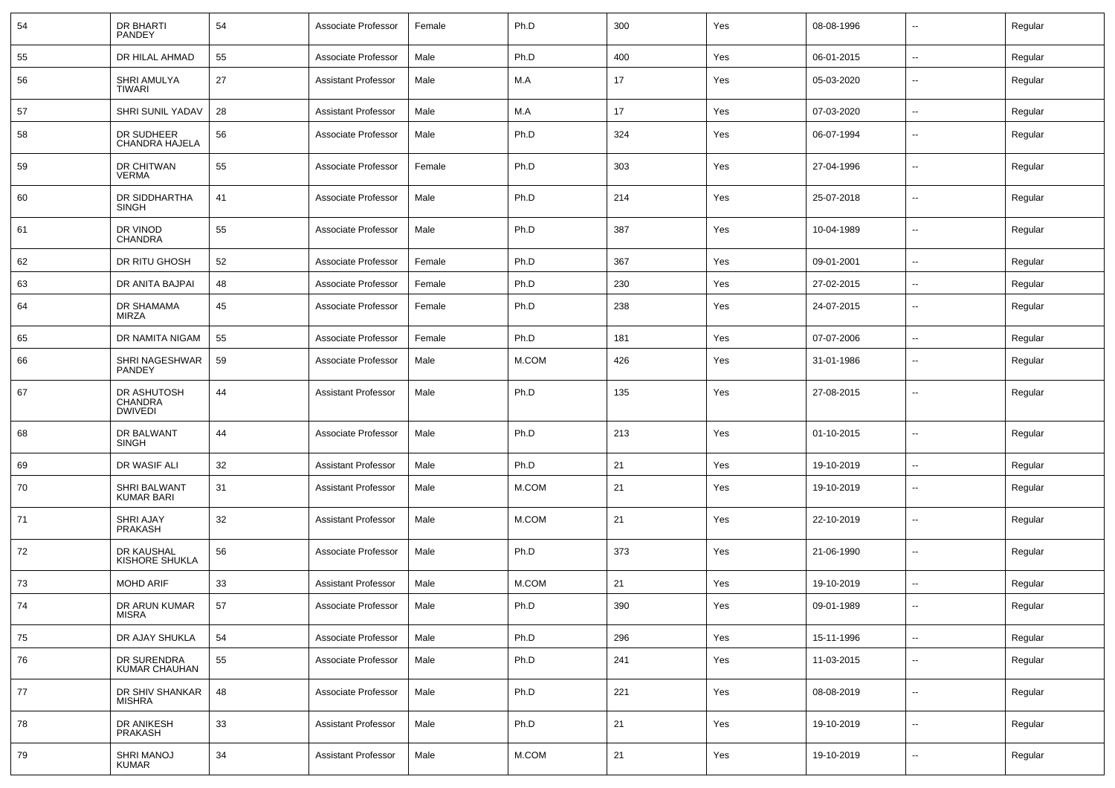| 54 | DR BHARTI<br><b>PANDEY</b>               | 54     | Associate Professor        | Female | Ph.D     | 300 | Yes | 08-08-1996 | $\mathbf{u}$             | Regular |
|----|------------------------------------------|--------|----------------------------|--------|----------|-----|-----|------------|--------------------------|---------|
| 55 | DR HILAL AHMAD                           | 55     | Associate Professor        | Male   | Ph.D     | 400 | Yes | 06-01-2015 | $\sim$                   | Regular |
| 56 | SHRI AMULYA<br>TIWARI                    | 27     | <b>Assistant Professor</b> | Male   | M.A      | 17  | Yes | 05-03-2020 | $\overline{\phantom{a}}$ | Regular |
| 57 | SHRI SUNIL YADAV                         | 28     | <b>Assistant Professor</b> | Male   | M.A      | 17  | Yes | 07-03-2020 | $\sim$                   | Regular |
| 58 | DR SUDHEER<br>CHANDRA HAJELA             | 56     | Associate Professor        | Male   | Ph.D     | 324 | Yes | 06-07-1994 | $\overline{\phantom{a}}$ | Regular |
| 59 | DR CHITWAN<br><b>VERMA</b>               | 55     | Associate Professor        | Female | Ph.D     | 303 | Yes | 27-04-1996 | $\overline{\phantom{a}}$ | Regular |
| 60 | DR SIDDHARTHA<br>SINGH                   | 41     | Associate Professor        | Male   | Ph.D     | 214 | Yes | 25-07-2018 | $\overline{\phantom{a}}$ | Regular |
| 61 | DR VINOD<br><b>CHANDRA</b>               | 55     | Associate Professor        | Male   | Ph.D     | 387 | Yes | 10-04-1989 | $\mathbf{u}$             | Regular |
| 62 | DR RITU GHOSH                            | 52     | Associate Professor        | Female | Ph.D     | 367 | Yes | 09-01-2001 | $\mathbf{u}$             | Regular |
| 63 | DR ANITA BAJPAI                          | 48     | Associate Professor        | Female | Ph.D     | 230 | Yes | 27-02-2015 |                          | Regular |
| 64 | DR SHAMAMA<br>MIRZA                      | 45     | Associate Professor        | Female | Ph.D     | 238 | Yes | 24-07-2015 | $\overline{\phantom{a}}$ | Regular |
| 65 | DR NAMITA NIGAM                          | 55     | Associate Professor        | Female | Ph.D     | 181 | Yes | 07-07-2006 | $\mathbf{u}$             | Regular |
| 66 | SHRI NAGESHWAR<br>PANDEY                 | 59     | Associate Professor        | Male   | M.COM    | 426 | Yes | 31-01-1986 | $\overline{\phantom{a}}$ | Regular |
| 67 | DR ASHUTOSH<br>CHANDRA<br><b>DWIVEDI</b> | 44     | <b>Assistant Professor</b> | Male   | Ph.D     | 135 | Yes | 27-08-2015 |                          | Regular |
| 68 | DR BALWANT<br><b>SINGH</b>               | 44     | Associate Professor        | Male   | Ph.D     | 213 | Yes | 01-10-2015 | $\overline{\phantom{a}}$ | Regular |
| 69 | DR WASIF ALI                             | 32     | <b>Assistant Professor</b> | Male   | Ph.D     | 21  | Yes | 19-10-2019 | $\mathbf{u}$             | Regular |
| 70 | SHRI BALWANT<br><b>KUMAR BARI</b>        | 31     | <b>Assistant Professor</b> | Male   | M.COM    | 21  | Yes | 19-10-2019 | --                       | Regular |
| 71 | SHRI AJAY<br>PRAKASH                     | 32     | <b>Assistant Professor</b> | Male   | M.COM    | 21  | Yes | 22-10-2019 | --                       | Regular |
| 72 | DR KAUSHAL<br><b>KISHORE SHUKLA</b>      | 56     | Associate Professor        | Male   | Ph.D     | 373 | Yes | 21-06-1990 | --                       | Regular |
| 73 | <b>MOHD ARIF</b>                         | 33     | <b>Assistant Professor</b> | Male   | M.COM    | 21  | Yes | 19-10-2019 |                          | Regular |
| 74 | DR ARUN KUMAR<br><b>MISRA</b>            | 57     | Associate Professor        | Male   | Ph.D     | 390 | Yes | 09-01-1989 |                          | Regular |
| 75 | DR AJAY SHUKLA                           | 54     | Associate Professor        | Male   | Ph.D     | 296 | Yes | 15-11-1996 | $\sim$                   | Regular |
| 76 | DR SURENDRA<br>KUMAR CHAUHAN             | 55     | Associate Professor        | Male   | Ph.D     | 241 | Yes | 11-03-2015 | $\sim$                   | Regular |
| 77 | DR SHIV SHANKAR<br><b>MISHRA</b>         | 48     | Associate Professor        | Male   | Ph.D     | 221 | Yes | 08-08-2019 | $\sim$                   | Regular |
| 78 | DR ANIKESH<br>PRAKASH                    | $33\,$ | <b>Assistant Professor</b> | Male   | Ph.D     | 21  | Yes | 19-10-2019 | $\sim$                   | Regular |
| 79 | SHRI MANOJ<br><b>KUMAR</b>               | 34     | <b>Assistant Professor</b> | Male   | $M.$ COM | 21  | Yes | 19-10-2019 | $\sim$                   | Regular |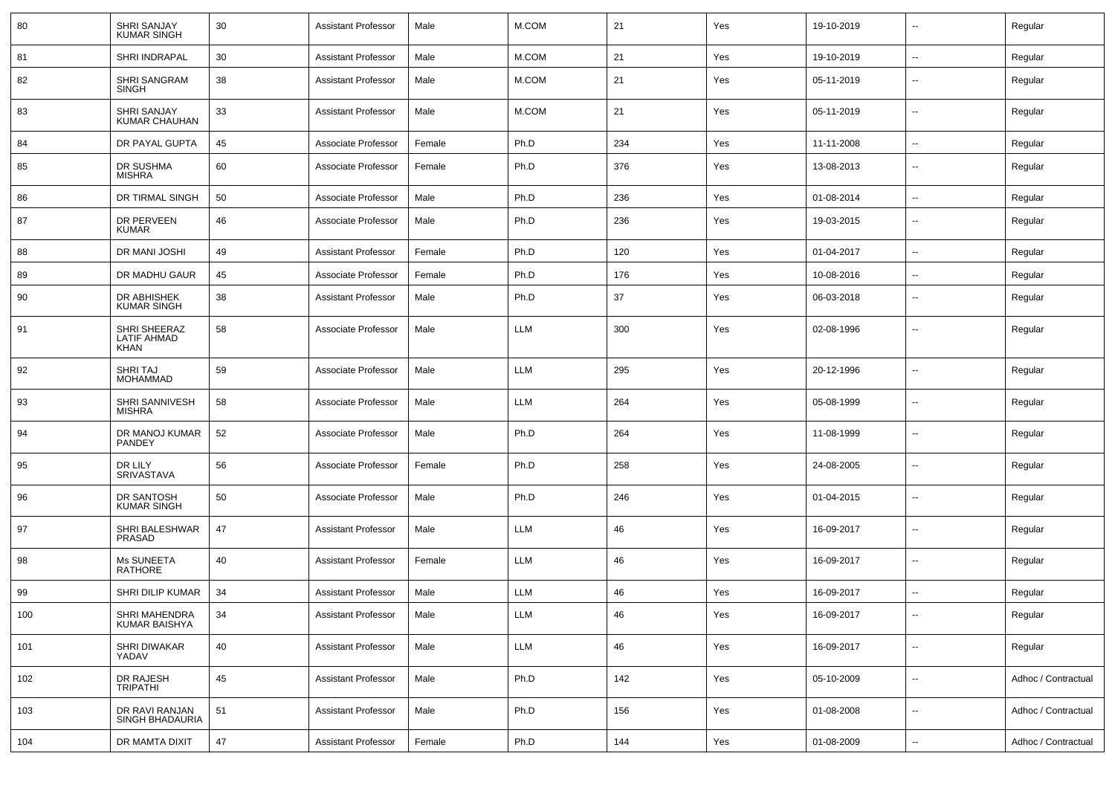| 80  | <b>SHRI SANJAY</b><br><b>KUMAR SINGH</b>          | 30 | <b>Assistant Professor</b> | Male   | M.COM      | 21  | Yes | 19-10-2019 | $\overline{\phantom{a}}$ | Regular             |
|-----|---------------------------------------------------|----|----------------------------|--------|------------|-----|-----|------------|--------------------------|---------------------|
| 81  | SHRI INDRAPAL                                     | 30 | <b>Assistant Professor</b> | Male   | M.COM      | 21  | Yes | 19-10-2019 | ⊷.                       | Regular             |
| 82  | <b>SHRI SANGRAM</b><br><b>SINGH</b>               | 38 | <b>Assistant Professor</b> | Male   | M.COM      | 21  | Yes | 05-11-2019 | $\overline{\phantom{a}}$ | Regular             |
| 83  | SHRI SANJAY<br>KUMAR CHAUHAN                      | 33 | <b>Assistant Professor</b> | Male   | M.COM      | 21  | Yes | 05-11-2019 | $\overline{\phantom{a}}$ | Regular             |
| 84  | DR PAYAL GUPTA                                    | 45 | Associate Professor        | Female | Ph.D       | 234 | Yes | 11-11-2008 | $\overline{\phantom{a}}$ | Regular             |
| 85  | DR SUSHMA<br><b>MISHRA</b>                        | 60 | Associate Professor        | Female | Ph.D       | 376 | Yes | 13-08-2013 | --                       | Regular             |
| 86  | DR TIRMAL SINGH                                   | 50 | Associate Professor        | Male   | Ph.D       | 236 | Yes | 01-08-2014 | $\overline{\phantom{a}}$ | Regular             |
| 87  | DR PERVEEN<br><b>KUMAR</b>                        | 46 | Associate Professor        | Male   | Ph.D       | 236 | Yes | 19-03-2015 | -−                       | Regular             |
| 88  | DR MANI JOSHI                                     | 49 | <b>Assistant Professor</b> | Female | Ph.D       | 120 | Yes | 01-04-2017 | --                       | Regular             |
| 89  | DR MADHU GAUR                                     | 45 | Associate Professor        | Female | Ph.D       | 176 | Yes | 10-08-2016 | $\overline{\phantom{a}}$ | Regular             |
| 90  | DR ABHISHEK<br><b>KUMAR SINGH</b>                 | 38 | <b>Assistant Professor</b> | Male   | Ph.D       | 37  | Yes | 06-03-2018 | $\overline{\phantom{a}}$ | Regular             |
| 91  | SHRI SHEERAZ<br><b>LATIF AHMAD</b><br><b>KHAN</b> | 58 | Associate Professor        | Male   | LLM        | 300 | Yes | 02-08-1996 | --                       | Regular             |
| 92  | <b>SHRITAJ</b><br><b>MOHAMMAD</b>                 | 59 | Associate Professor        | Male   | <b>LLM</b> | 295 | Yes | 20-12-1996 | $\overline{\phantom{a}}$ | Regular             |
| 93  | SHRI SANNIVESH<br><b>MISHRA</b>                   | 58 | Associate Professor        | Male   | LLM        | 264 | Yes | 05-08-1999 | $\overline{\phantom{a}}$ | Regular             |
| 94  | DR MANOJ KUMAR<br>PANDEY                          | 52 | Associate Professor        | Male   | Ph.D       | 264 | Yes | 11-08-1999 | ⊷.                       | Regular             |
| 95  | DR LILY<br>SRIVASTAVA                             | 56 | Associate Professor        | Female | Ph.D       | 258 | Yes | 24-08-2005 | $\overline{\phantom{a}}$ | Regular             |
| 96  | DR SANTOSH<br><b>KUMAR SINGH</b>                  | 50 | Associate Professor        | Male   | Ph.D       | 246 | Yes | 01-04-2015 | $\overline{\phantom{a}}$ | Regular             |
| 97  | SHRI BALESHWAR<br>PRASAD                          | 47 | <b>Assistant Professor</b> | Male   | <b>LLM</b> | 46  | Yes | 16-09-2017 | ⊷.                       | Regular             |
| 98  | Ms SUNEETA<br>RATHORE                             | 40 | <b>Assistant Professor</b> | Female | LLM        | 46  | Yes | 16-09-2017 | $\overline{\phantom{a}}$ | Regular             |
| 99  | SHRI DILIP KUMAR                                  | 34 | <b>Assistant Professor</b> | Male   | <b>LLM</b> | 46  | Yes | 16-09-2017 | $\sim$                   | Regular             |
| 100 | SHRI MAHENDRA<br>KUMAR BAISHYA                    | 34 | <b>Assistant Professor</b> | Male   | LLM        | 46  | Yes | 16-09-2017 | $\sim$                   | Regular             |
| 101 | <b>SHRI DIWAKAR</b><br>YADAV                      | 40 | <b>Assistant Professor</b> | Male   | LLM        | 46  | Yes | 16-09-2017 | $\sim$                   | Regular             |
| 102 | DR RAJESH<br>TRIPATHI                             | 45 | <b>Assistant Professor</b> | Male   | Ph.D       | 142 | Yes | 05-10-2009 | Ξ.                       | Adhoc / Contractual |
| 103 | DR RAVI RANJAN<br>SINGH BHADAURIA                 | 51 | <b>Assistant Professor</b> | Male   | Ph.D       | 156 | Yes | 01-08-2008 | Ξ.                       | Adhoc / Contractual |
| 104 | DR MAMTA DIXIT                                    | 47 | <b>Assistant Professor</b> | Female | Ph.D       | 144 | Yes | 01-08-2009 | Ξ.                       | Adhoc / Contractual |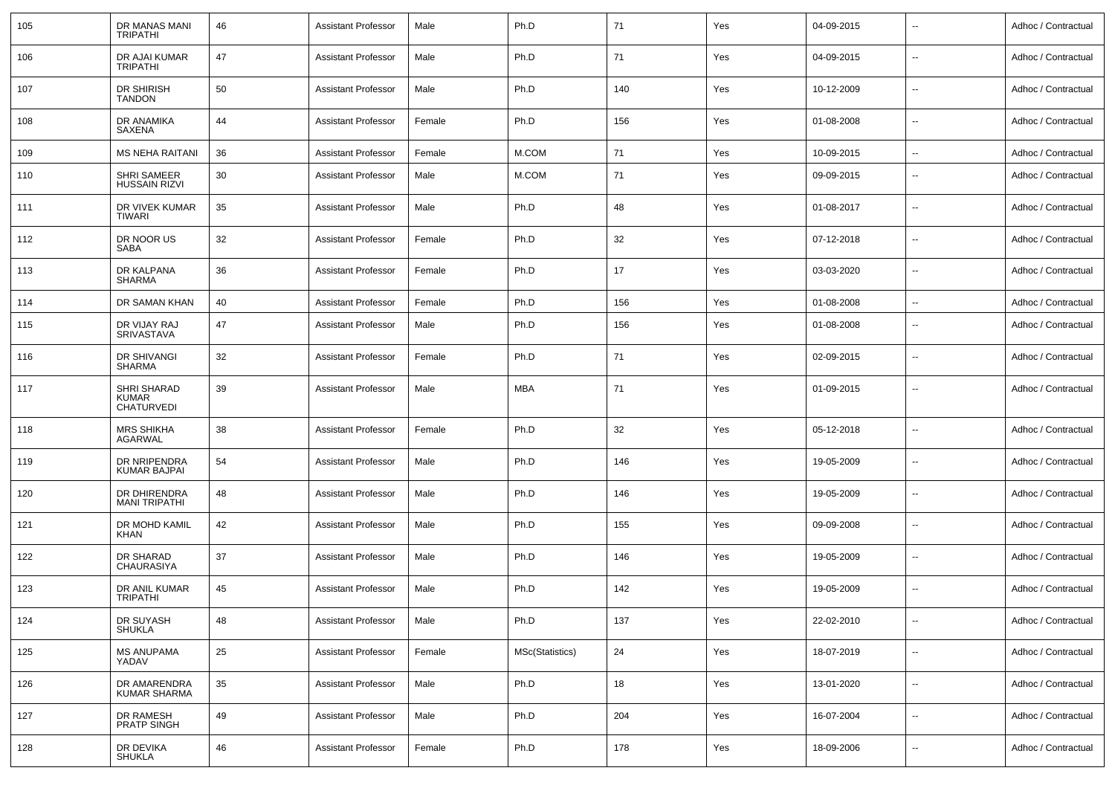| 105 | DR MANAS MANI<br><b>TRIPATHI</b>                 | 46 | <b>Assistant Professor</b> | Male   | Ph.D            | 71  | Yes | 04-09-2015 | $\sim$                   | Adhoc / Contractual |
|-----|--------------------------------------------------|----|----------------------------|--------|-----------------|-----|-----|------------|--------------------------|---------------------|
| 106 | DR AJAI KUMAR<br><b>TRIPATHI</b>                 | 47 | <b>Assistant Professor</b> | Male   | Ph.D            | 71  | Yes | 04-09-2015 | $\sim$                   | Adhoc / Contractual |
| 107 | DR SHIRISH<br><b>TANDON</b>                      | 50 | <b>Assistant Professor</b> | Male   | Ph.D            | 140 | Yes | 10-12-2009 | $\sim$                   | Adhoc / Contractual |
| 108 | DR ANAMIKA<br>SAXENA                             | 44 | <b>Assistant Professor</b> | Female | Ph.D            | 156 | Yes | 01-08-2008 | $\sim$                   | Adhoc / Contractual |
| 109 | <b>MS NEHA RAITANI</b>                           | 36 | <b>Assistant Professor</b> | Female | M.COM           | 71  | Yes | 10-09-2015 | $\sim$                   | Adhoc / Contractual |
| 110 | SHRI SAMEER<br><b>HUSSAIN RIZVI</b>              | 30 | <b>Assistant Professor</b> | Male   | M.COM           | 71  | Yes | 09-09-2015 | $\overline{\phantom{a}}$ | Adhoc / Contractual |
| 111 | DR VIVEK KUMAR<br>TIWARI                         | 35 | <b>Assistant Professor</b> | Male   | Ph.D            | 48  | Yes | 01-08-2017 | $\overline{\phantom{a}}$ | Adhoc / Contractual |
| 112 | DR NOOR US<br>SABA                               | 32 | <b>Assistant Professor</b> | Female | Ph.D            | 32  | Yes | 07-12-2018 | $\overline{\phantom{a}}$ | Adhoc / Contractual |
| 113 | DR KALPANA<br>SHARMA                             | 36 | <b>Assistant Professor</b> | Female | Ph.D            | 17  | Yes | 03-03-2020 | $\overline{\phantom{a}}$ | Adhoc / Contractual |
| 114 | DR SAMAN KHAN                                    | 40 | <b>Assistant Professor</b> | Female | Ph.D            | 156 | Yes | 01-08-2008 | --                       | Adhoc / Contractual |
| 115 | DR VIJAY RAJ<br>SRIVASTAVA                       | 47 | <b>Assistant Professor</b> | Male   | Ph.D            | 156 | Yes | 01-08-2008 | $\sim$                   | Adhoc / Contractual |
| 116 | DR SHIVANGI<br>SHARMA                            | 32 | <b>Assistant Professor</b> | Female | Ph.D            | 71  | Yes | 02-09-2015 | $\sim$                   | Adhoc / Contractual |
| 117 | SHRI SHARAD<br><b>KUMAR</b><br><b>CHATURVEDI</b> | 39 | <b>Assistant Professor</b> | Male   | MBA             | 71  | Yes | 01-09-2015 | $\sim$                   | Adhoc / Contractual |
| 118 | <b>MRS SHIKHA</b><br>AGARWAL                     | 38 | <b>Assistant Professor</b> | Female | Ph.D            | 32  | Yes | 05-12-2018 | $\overline{\phantom{a}}$ | Adhoc / Contractual |
| 119 | DR NRIPENDRA<br><b>KUMAR BAJPAI</b>              | 54 | <b>Assistant Professor</b> | Male   | Ph.D            | 146 | Yes | 19-05-2009 | $\overline{\phantom{a}}$ | Adhoc / Contractual |
| 120 | DR DHIRENDRA<br><b>MANI TRIPATHI</b>             | 48 | <b>Assistant Professor</b> | Male   | Ph.D            | 146 | Yes | 19-05-2009 | $\overline{\phantom{a}}$ | Adhoc / Contractual |
| 121 | DR MOHD KAMIL<br>KHAN                            | 42 | <b>Assistant Professor</b> | Male   | Ph.D            | 155 | Yes | 09-09-2008 | $\overline{\phantom{a}}$ | Adhoc / Contractual |
| 122 | DR SHARAD<br>CHAURASIYA                          | 37 | <b>Assistant Professor</b> | Male   | Ph.D            | 146 | Yes | 19-05-2009 | $\overline{\phantom{a}}$ | Adhoc / Contractual |
| 123 | DR ANIL KUMAR<br><b>TRIPATHI</b>                 | 45 | <b>Assistant Professor</b> | Male   | Ph.D            | 142 | Yes | 19-05-2009 | $\overline{\phantom{a}}$ | Adhoc / Contractual |
| 124 | DR SUYASH<br><b>SHUKLA</b>                       | 48 | <b>Assistant Professor</b> | Male   | Ph.D            | 137 | Yes | 22-02-2010 | $\sim$                   | Adhoc / Contractual |
| 125 | <b>MS ANUPAMA</b><br>YADAV                       | 25 | <b>Assistant Professor</b> | Female | MSc(Statistics) | 24  | Yes | 18-07-2019 | $\sim$                   | Adhoc / Contractual |
| 126 | DR AMARENDRA<br><b>KUMAR SHARMA</b>              | 35 | <b>Assistant Professor</b> | Male   | Ph.D            | 18  | Yes | 13-01-2020 | $\sim$                   | Adhoc / Contractual |
| 127 | DR RAMESH<br><b>PRATP SINGH</b>                  | 49 | <b>Assistant Professor</b> | Male   | Ph.D            | 204 | Yes | 16-07-2004 | $\sim$                   | Adhoc / Contractual |
| 128 | DR DEVIKA<br><b>SHUKLA</b>                       | 46 | <b>Assistant Professor</b> | Female | Ph.D            | 178 | Yes | 18-09-2006 | $\overline{\phantom{a}}$ | Adhoc / Contractual |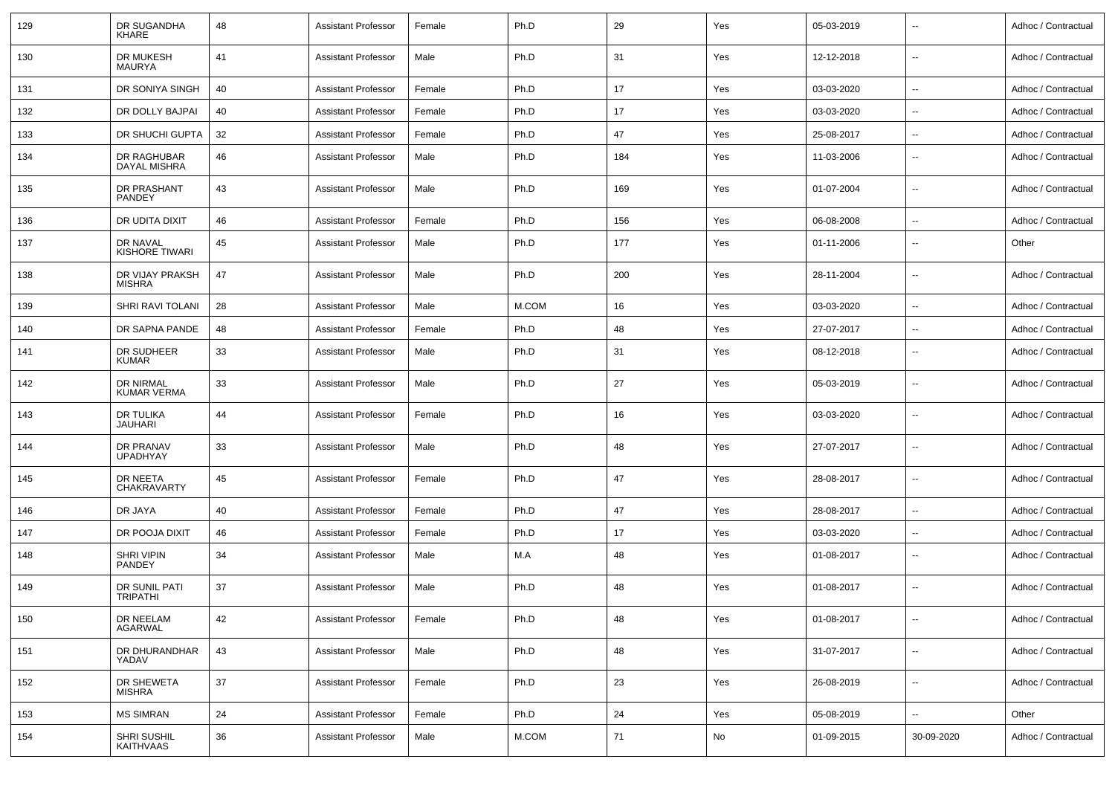| 129 | DR SUGANDHA<br><b>KHARE</b>        | 48 | <b>Assistant Professor</b> | Female | Ph.D  | 29  | Yes | 05-03-2019 | $\overline{\phantom{a}}$ | Adhoc / Contractual |
|-----|------------------------------------|----|----------------------------|--------|-------|-----|-----|------------|--------------------------|---------------------|
| 130 | DR MUKESH<br><b>MAURYA</b>         | 41 | <b>Assistant Professor</b> | Male   | Ph.D  | 31  | Yes | 12-12-2018 | $\sim$                   | Adhoc / Contractual |
| 131 | DR SONIYA SINGH                    | 40 | <b>Assistant Professor</b> | Female | Ph.D  | 17  | Yes | 03-03-2020 | $\sim$                   | Adhoc / Contractual |
| 132 | DR DOLLY BAJPAI                    | 40 | <b>Assistant Professor</b> | Female | Ph.D  | 17  | Yes | 03-03-2020 | --                       | Adhoc / Contractual |
| 133 | DR SHUCHI GUPTA                    | 32 | <b>Assistant Professor</b> | Female | Ph.D  | 47  | Yes | 25-08-2017 | $\overline{\phantom{a}}$ | Adhoc / Contractual |
| 134 | DR RAGHUBAR<br><b>DAYAL MISHRA</b> | 46 | <b>Assistant Professor</b> | Male   | Ph.D  | 184 | Yes | 11-03-2006 | $\sim$                   | Adhoc / Contractual |
| 135 | DR PRASHANT<br><b>PANDEY</b>       | 43 | <b>Assistant Professor</b> | Male   | Ph.D  | 169 | Yes | 01-07-2004 | $\sim$                   | Adhoc / Contractual |
| 136 | DR UDITA DIXIT                     | 46 | <b>Assistant Professor</b> | Female | Ph.D  | 156 | Yes | 06-08-2008 | $\sim$                   | Adhoc / Contractual |
| 137 | DR NAVAL<br>KISHORE TIWARI         | 45 | <b>Assistant Professor</b> | Male   | Ph.D  | 177 | Yes | 01-11-2006 | $\overline{\phantom{a}}$ | Other               |
| 138 | DR VIJAY PRAKSH<br><b>MISHRA</b>   | 47 | <b>Assistant Professor</b> | Male   | Ph.D  | 200 | Yes | 28-11-2004 | $\overline{\phantom{a}}$ | Adhoc / Contractual |
| 139 | SHRI RAVI TOLANI                   | 28 | <b>Assistant Professor</b> | Male   | M.COM | 16  | Yes | 03-03-2020 | $\ddotsc$                | Adhoc / Contractual |
| 140 | DR SAPNA PANDE                     | 48 | <b>Assistant Professor</b> | Female | Ph.D  | 48  | Yes | 27-07-2017 | $\sim$                   | Adhoc / Contractual |
| 141 | DR SUDHEER<br><b>KUMAR</b>         | 33 | <b>Assistant Professor</b> | Male   | Ph.D  | 31  | Yes | 08-12-2018 | $\sim$                   | Adhoc / Contractual |
| 142 | DR NIRMAL<br><b>KUMAR VERMA</b>    | 33 | <b>Assistant Professor</b> | Male   | Ph.D  | 27  | Yes | 05-03-2019 | $\overline{\phantom{a}}$ | Adhoc / Contractual |
| 143 | DR TULIKA<br>JAUHARI               | 44 | <b>Assistant Professor</b> | Female | Ph.D  | 16  | Yes | 03-03-2020 | $\overline{\phantom{a}}$ | Adhoc / Contractual |
| 144 | DR PRANAV<br><b>UPADHYAY</b>       | 33 | <b>Assistant Professor</b> | Male   | Ph.D  | 48  | Yes | 27-07-2017 | $\overline{\phantom{a}}$ | Adhoc / Contractual |
| 145 | DR NEETA<br><b>CHAKRAVARTY</b>     | 45 | <b>Assistant Professor</b> | Female | Ph.D  | 47  | Yes | 28-08-2017 | $\sim$                   | Adhoc / Contractual |
| 146 | DR JAYA                            | 40 | <b>Assistant Professor</b> | Female | Ph.D  | 47  | Yes | 28-08-2017 | $\overline{\phantom{a}}$ | Adhoc / Contractual |
| 147 | DR POOJA DIXIT                     | 46 | <b>Assistant Professor</b> | Female | Ph.D  | 17  | Yes | 03-03-2020 | $\overline{\phantom{a}}$ | Adhoc / Contractual |
| 148 | SHRI VIPIN<br>PANDEY               | 34 | <b>Assistant Professor</b> | Male   | M.A   | 48  | Yes | 01-08-2017 | $\overline{\phantom{a}}$ | Adhoc / Contractual |
| 149 | DR SUNIL PATI<br><b>TRIPATHI</b>   | 37 | <b>Assistant Professor</b> | Male   | Ph.D  | 48  | Yes | 01-08-2017 | $\sim$                   | Adhoc / Contractual |
| 150 | DR NEELAM<br>AGARWAL               | 42 | <b>Assistant Professor</b> | Female | Ph.D  | 48  | Yes | 01-08-2017 | $\sim$                   | Adhoc / Contractual |
| 151 | DR DHURANDHAR<br>YADAV             | 43 | <b>Assistant Professor</b> | Male   | Ph.D  | 48  | Yes | 31-07-2017 | $\sim$                   | Adhoc / Contractual |
| 152 | DR SHEWETA<br><b>MISHRA</b>        | 37 | <b>Assistant Professor</b> | Female | Ph.D  | 23  | Yes | 26-08-2019 | $\sim$                   | Adhoc / Contractual |
| 153 | <b>MS SIMRAN</b>                   | 24 | <b>Assistant Professor</b> | Female | Ph.D  | 24  | Yes | 05-08-2019 | $\overline{\phantom{a}}$ | Other               |
| 154 | <b>SHRI SUSHIL</b><br>KAITHVAAS    | 36 | <b>Assistant Professor</b> | Male   | M.COM | 71  | No  | 01-09-2015 | 30-09-2020               | Adhoc / Contractual |